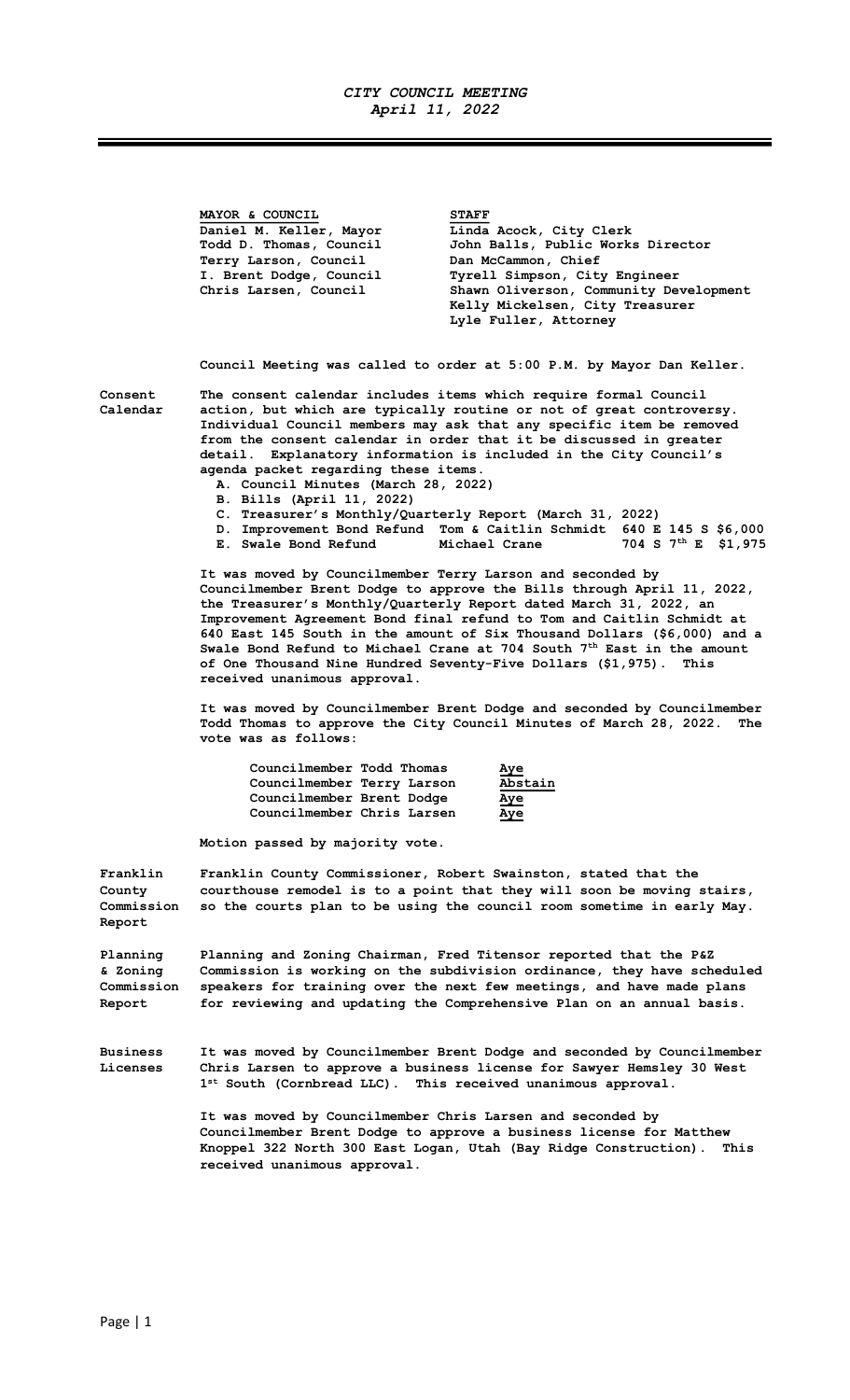## CITY COUNCIL MEETING April 11, 2022

MAYOR & COUNCIL STAFF Daniel M. Keller, Mayor Linda Acock, City Clerk Todd D. Thomas, Council John Balls, Public Works Director Terry Larson, Council Dan McCammon, Chief I. Brent Dodge, Council Tyrell Simpson, City Engineer<br>Chris Larsen, Council Shawn Oliverson, Community De Chris Larsen, Council Shawn Oliverson, Community Development Kelly Mickelsen, City Treasurer Lyle Fuller, Attorney

Council Meeting was called to order at 5:00 P.M. by Mayor Dan Keller.

Consent The consent calendar includes items which require formal Council<br>Calendar action, but which are typically routine or not of great controve action, but which are typically routine or not of great controversy. Individual Council members may ask that any specific item be removed from the consent calendar in order that it be discussed in greater detail. Explanatory information is included in the City Council's agenda packet regarding these items.

A. Council Minutes (March 28, 2022)

- B. Bills (April 11, 2022)
- C. Treasurer's Monthly/Quarterly Report (March 31, 2022)
- D. Improvement Bond Refund Tom & Caitlin Schmidt 640 E 145 S \$6,000
- E. Swale Bond Refund Michael Crane 704 S 7<sup>th</sup> E \$1,975

It was moved by Councilmember Terry Larson and seconded by Councilmember Brent Dodge to approve the Bills through April 11, 2022, the Treasurer's Monthly/Quarterly Report dated March 31, 2022, an Improvement Agreement Bond final refund to Tom and Caitlin Schmidt at 640 East 145 South in the amount of Six Thousand Dollars (\$6,000) and a Swale Bond Refund to Michael Crane at 704 South  $7<sup>th</sup>$  East in the amount of One Thousand Nine Hundred Seventy-Five Dollars (\$1,975). This received unanimous approval.

It was moved by Councilmember Brent Dodge and seconded by Councilmember Todd Thomas to approve the City Council Minutes of March 28, 2022. The vote was as follows:

| Councilmember Todd Thomas  | <u>Aye</u> |
|----------------------------|------------|
| Councilmember Terry Larson | Abstain    |
| Councilmember Brent Dodge  | <u>Aye</u> |
| Councilmember Chris Larsen | Aye        |

Motion passed by majority vote.

Franklin Franklin County Commissioner, Robert Swainston, stated that the County courthouse remodel is to a point that they will soon be moving stairs, Commission so the courts plan to be using the council room sometime in early May. Report

Planning Planning and Zoning Chairman, Fred Titensor reported that the P&Z & Zoning Commission is working on the subdivision ordinance, they have scheduled Commission speakers for training over the next few meetings, and have made plans Report for reviewing and updating the Comprehensive Plan on an annual basis.

Business It was moved by Councilmember Brent Dodge and seconded by Councilmember Licenses Chris Larsen to approve a business license for Sawyer Hemsley 30 West 1 st South (Cornbread LLC). This received unanimous approval.

> It was moved by Councilmember Chris Larsen and seconded by Councilmember Brent Dodge to approve a business license for Matthew Knoppel 322 North 300 East Logan, Utah (Bay Ridge Construction). This received unanimous approval.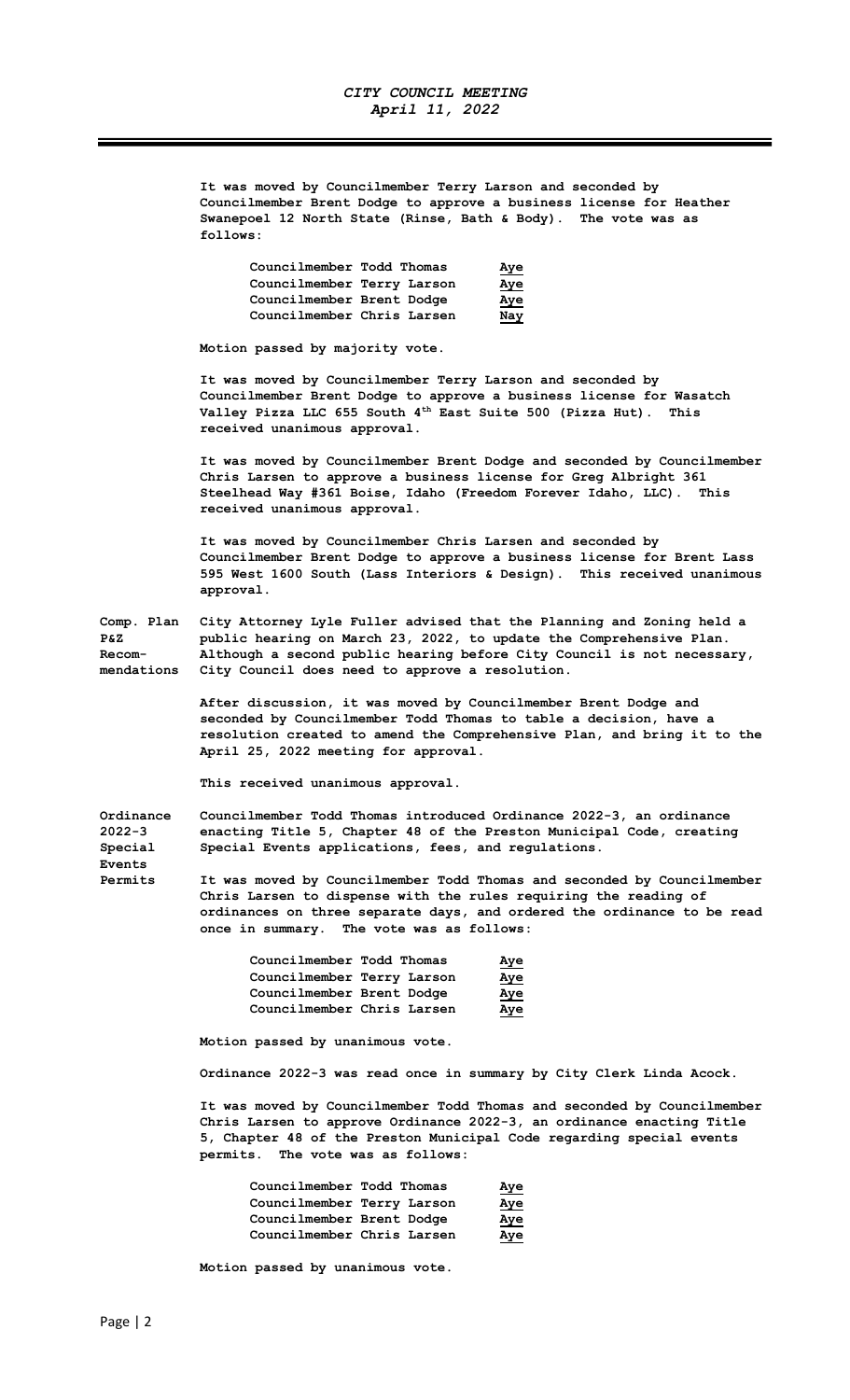It was moved by Councilmember Terry Larson and seconded by Councilmember Brent Dodge to approve a business license for Heather Swanepoel 12 North State (Rinse, Bath & Body). The vote was as follows:

| Councilmember Todd Thomas  | Aye        |
|----------------------------|------------|
| Councilmember Terry Larson | <u>Aye</u> |
| Councilmember Brent Dodge  | Aye        |
| Councilmember Chris Larsen | Nay        |

Motion passed by majority vote.

It was moved by Councilmember Terry Larson and seconded by Councilmember Brent Dodge to approve a business license for Wasatch Valley Pizza LLC 655 South 4th East Suite 500 (Pizza Hut). This received unanimous approval.

It was moved by Councilmember Brent Dodge and seconded by Councilmember Chris Larsen to approve a business license for Greg Albright 361 Steelhead Way #361 Boise, Idaho (Freedom Forever Idaho, LLC). This received unanimous approval.

It was moved by Councilmember Chris Larsen and seconded by Councilmember Brent Dodge to approve a business license for Brent Lass 595 West 1600 South (Lass Interiors & Design). This received unanimous approval.

Comp. Plan City Attorney Lyle Fuller advised that the Planning and Zoning held a P&Z public hearing on March 23, 2022, to update the Comprehensive Plan. Recom- Although a second public hearing before City Council is not necessary, mendations City Council does need to approve a resolution.

> After discussion, it was moved by Councilmember Brent Dodge and seconded by Councilmember Todd Thomas to table a decision, have a resolution created to amend the Comprehensive Plan, and bring it to the April 25, 2022 meeting for approval.

This received unanimous approval.

Ordinance Councilmember Todd Thomas introduced Ordinance 2022-3, an ordinance<br>2022-3 enacting Title 5, Chapter 48 of the Preston Municipal Code, creating enacting Title 5, Chapter 48 of the Preston Municipal Code, creating Special Special Events applications, fees, and regulations.

Permits It was moved by Councilmember Todd Thomas and seconded by Councilmember Chris Larsen to dispense with the rules requiring the reading of ordinances on three separate days, and ordered the ordinance to be read once in summary. The vote was as follows:

| Councilmember Todd Thomas  |  | <u>Aye</u> |
|----------------------------|--|------------|
| Councilmember Terry Larson |  | Aye        |
| Councilmember Brent Dodge  |  | Aye        |
| Councilmember Chris Larsen |  | Aye        |

Motion passed by unanimous vote.

Ordinance 2022-3 was read once in summary by City Clerk Linda Acock.

It was moved by Councilmember Todd Thomas and seconded by Councilmember Chris Larsen to approve Ordinance 2022-3, an ordinance enacting Title 5, Chapter 48 of the Preston Municipal Code regarding special events permits. The vote was as follows:

| Councilmember Todd Thomas  | Aye        |
|----------------------------|------------|
| Councilmember Terry Larson | <u>Aye</u> |
| Councilmember Brent Dodge  | <u>Aye</u> |
| Councilmember Chris Larsen | Aye        |

Motion passed by unanimous vote.

Events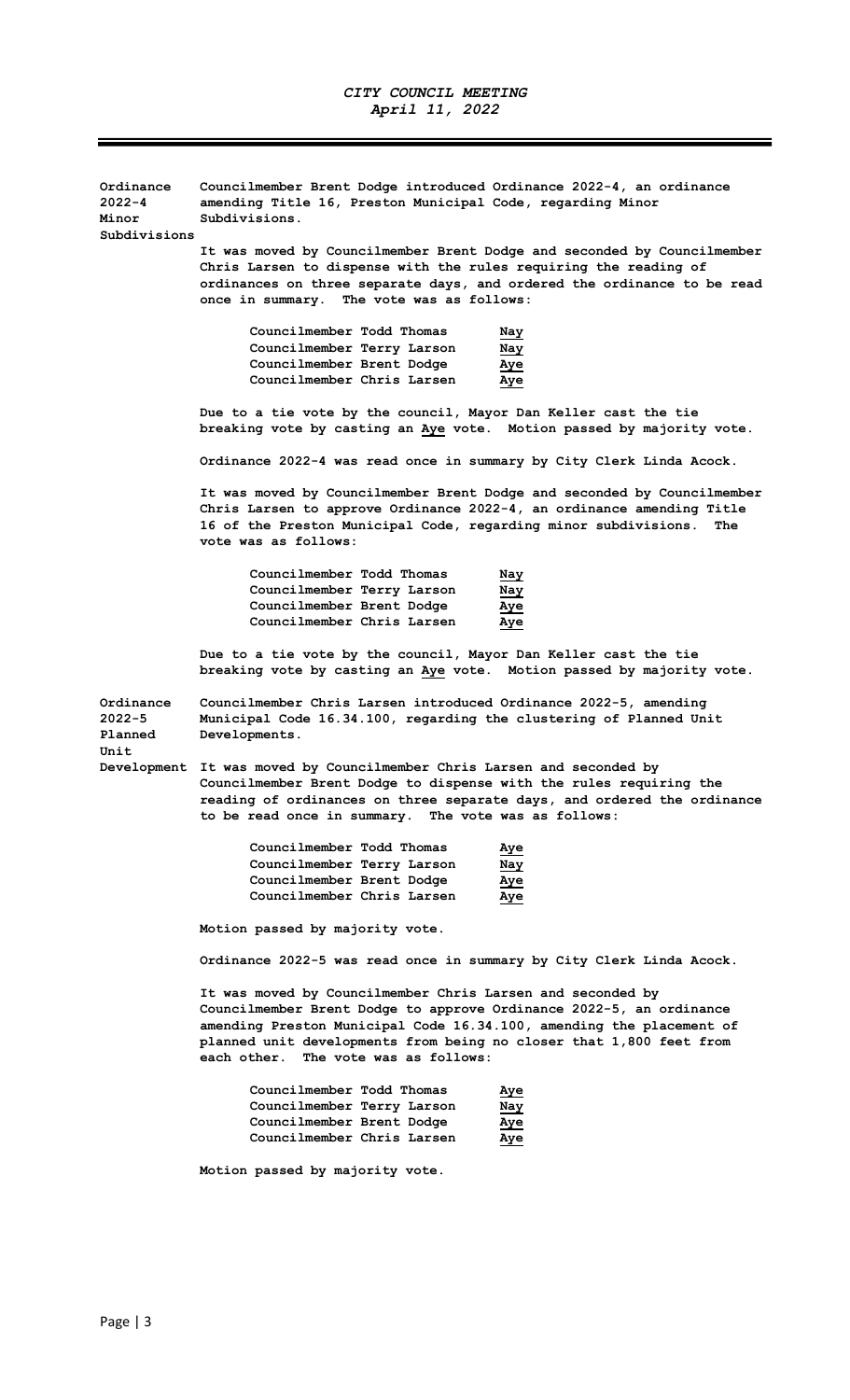$\mathcal{L}$ Ξ

| Ordinance<br>2022-4<br>Minor<br>Subdivisions | Councilmember Brent Dodge introduced Ordinance 2022-4, an ordinance<br>amending Title 16, Preston Municipal Code, regarding Minor<br>Subdivisions.                                                                                                                                                                          |
|----------------------------------------------|-----------------------------------------------------------------------------------------------------------------------------------------------------------------------------------------------------------------------------------------------------------------------------------------------------------------------------|
|                                              | It was moved by Councilmember Brent Dodge and seconded by Councilmember<br>Chris Larsen to dispense with the rules requiring the reading of<br>ordinances on three separate days, and ordered the ordinance to be read<br>once in summary. The vote was as follows:                                                         |
|                                              | Councilmember Todd Thomas<br>Nay<br>Councilmember Terry Larson<br>Nay<br>Councilmember Brent Dodge<br>Aye<br>Councilmember Chris Larsen<br>Aye                                                                                                                                                                              |
|                                              | Due to a tie vote by the council, Mayor Dan Keller cast the tie<br>breaking vote by casting an Aye vote. Motion passed by majority vote.                                                                                                                                                                                    |
|                                              | Ordinance 2022-4 was read once in summary by City Clerk Linda Acock.                                                                                                                                                                                                                                                        |
|                                              | It was moved by Councilmember Brent Dodge and seconded by Councilmember<br>Chris Larsen to approve Ordinance 2022-4, an ordinance amending Title<br>16 of the Preston Municipal Code, regarding minor subdivisions.<br>The<br>vote was as follows:                                                                          |
|                                              | Councilmember Todd Thomas<br>Nay<br>Councilmember Terry Larson<br>Nay<br>Councilmember Brent Dodge<br>Aye<br>Councilmember Chris Larsen<br>Aye                                                                                                                                                                              |
|                                              | Due to a tie vote by the council, Mayor Dan Keller cast the tie<br>breaking vote by casting an Aye vote. Motion passed by majority vote.                                                                                                                                                                                    |
| Ordinance<br>2022-5<br>Planned               | Councilmember Chris Larsen introduced Ordinance 2022-5, amending<br>Municipal Code 16.34.100, regarding the clustering of Planned Unit<br>Developments.                                                                                                                                                                     |
| Unit                                         | Development It was moved by Councilmember Chris Larsen and seconded by<br>Councilmember Brent Dodge to dispense with the rules requiring the<br>reading of ordinances on three separate days, and ordered the ordinance<br>to be read once in summary. The vote was as follows:                                             |
|                                              | Councilmember Todd Thomas<br>Aye<br>Councilmember Terry Larson<br>Nay<br>Councilmember Brent Dodge<br><u>Aye</u><br>Councilmember Chris Larsen<br>Aye                                                                                                                                                                       |
|                                              | Motion passed by majority vote.                                                                                                                                                                                                                                                                                             |
|                                              | Ordinance 2022-5 was read once in summary by City Clerk Linda Acock.                                                                                                                                                                                                                                                        |
|                                              | It was moved by Councilmember Chris Larsen and seconded by<br>Councilmember Brent Dodge to approve Ordinance 2022-5, an ordinance<br>amending Preston Municipal Code 16.34.100, amending the placement of<br>planned unit developments from being no closer that 1,800 feet from<br>The vote was as follows:<br>each other. |
|                                              | Councilmember Todd Thomas<br><u>Aye</u><br>Councilmember Terry Larson<br>Nay<br>Councilmember Brent Dodge<br>Aye<br>Councilmember Chris Larsen<br><u>Aye</u>                                                                                                                                                                |
|                                              | Motion passed by majority vote.                                                                                                                                                                                                                                                                                             |